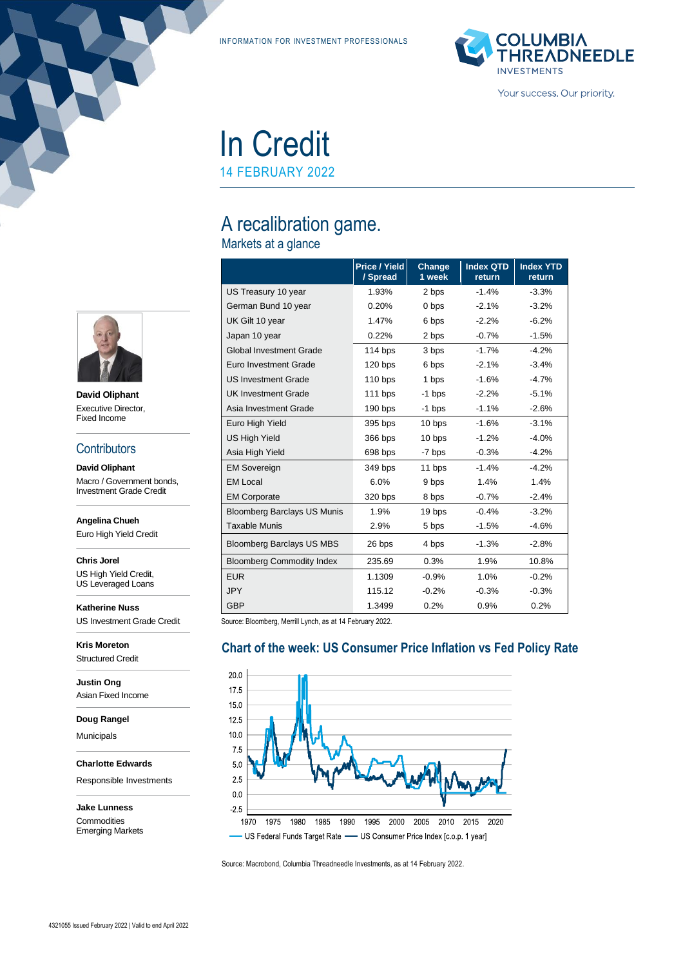INFORMATION FOR INVESTMENT PROFESSIONALS



# In Credit

14 FEBRUARY 2022

# A recalibration game.

## Markets at a glance

|                                    | Price / Yield<br>/ Spread | Change<br>1 week | <b>Index QTD</b><br>return | <b>Index YTD</b><br>return |
|------------------------------------|---------------------------|------------------|----------------------------|----------------------------|
| US Treasury 10 year                | 1.93%                     | 2 bps            | $-1.4%$                    | $-3.3%$                    |
| German Bund 10 year                | 0.20%                     | 0 bps            | $-2.1%$                    | $-3.2%$                    |
| UK Gilt 10 year                    | 1.47%                     | 6 bps            | $-2.2%$                    | $-6.2%$                    |
| Japan 10 year                      | 0.22%                     | 2 bps            | $-0.7%$                    | $-1.5%$                    |
| <b>Global Investment Grade</b>     | 114 bps                   | 3 bps            | $-1.7%$                    | $-4.2%$                    |
| Euro Investment Grade              | 120 bps                   | 6 bps            | $-2.1%$                    | $-3.4%$                    |
| <b>US Investment Grade</b>         | $110$ bps                 | 1 bps            | $-1.6%$                    | $-4.7%$                    |
| <b>UK Investment Grade</b>         | $111$ bps                 | -1 bps           | $-2.2%$                    | $-5.1%$                    |
| Asia Investment Grade              | $190$ bps                 | $-1$ bps         | $-1.1%$                    | $-2.6%$                    |
| Euro High Yield                    | 395 bps                   | 10 bps           | $-1.6%$                    | $-3.1%$                    |
| <b>US High Yield</b>               | 366 bps                   | 10 bps           | $-1.2%$                    | $-4.0%$                    |
| Asia High Yield                    | 698 bps                   | -7 bps           | $-0.3%$                    | $-4.2%$                    |
| <b>EM Sovereign</b>                | 349 bps                   | 11 bps           | $-1.4%$                    | $-4.2%$                    |
| <b>EM Local</b>                    | 6.0%                      | 9 bps            | 1.4%                       | 1.4%                       |
| <b>EM Corporate</b>                | 320 bps                   | 8 bps            | $-0.7%$                    | $-2.4%$                    |
| <b>Bloomberg Barclays US Munis</b> | 1.9%                      | 19 bps           | $-0.4%$                    | $-3.2%$                    |
| <b>Taxable Munis</b>               | 2.9%                      | 5 bps            | $-1.5%$                    | $-4.6%$                    |
| <b>Bloomberg Barclays US MBS</b>   | 26 bps                    | 4 bps            | $-1.3%$                    | $-2.8%$                    |
| <b>Bloomberg Commodity Index</b>   | 235.69                    | 0.3%             | 1.9%                       | 10.8%                      |
| <b>EUR</b>                         | 1.1309                    | $-0.9%$          | 1.0%                       | $-0.2%$                    |
| <b>JPY</b>                         | 115.12                    | $-0.2%$          | $-0.3%$                    | $-0.3%$                    |
| <b>GBP</b>                         | 1.3499                    | 0.2%             | 0.9%                       | 0.2%                       |

**Chart of the week: US Consumer Price Inflation vs Fed Policy Rate**

Source: Bloomberg, Merrill Lynch, as at 14 February 2022.

#### $20.0$ 17.5 15.0  $12.5$  $10.0$  $7.5$  $5.0$  $2.5$  $0.0$  $-2.5$ 1970 1975 1980 1985 1990 1995 2000 2005 2010 2015 2020 US Federal Funds Target Rate - US Consumer Price Index [c.o.p. 1 year]

Source: Macrobond, Columbia Threadneedle Investments, as at 14 February 2022.



**David Oliphant** Executive Director, Fixed Income

#### **Contributors**

**David Oliphant** Macro / Government bonds, Investment Grade Credit

**Angelina Chueh**

Euro High Yield Credit

**Chris Jorel** US High Yield Credit, US Leveraged Loans

**Katherine Nuss** US Investment Grade Credit

**Kris Moreton** Structured Credit

**Justin Ong** Asian Fixed Income

**Doug Rangel**

Municipals

**Charlotte Edwards**

Responsible Investments

**Jake Lunness Commodities** Emerging Markets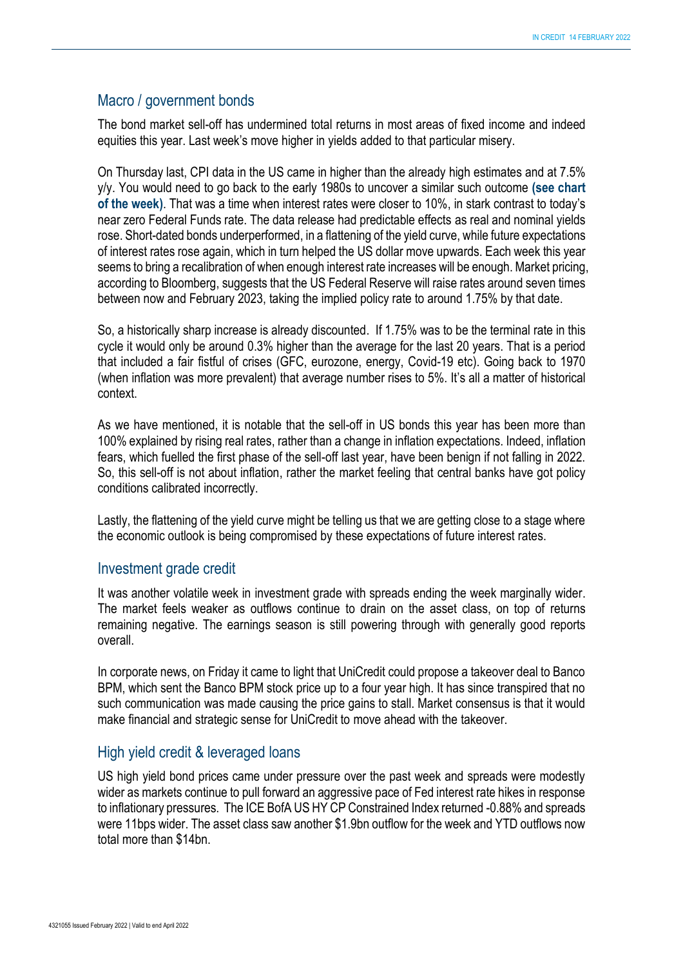#### Macro / government bonds

The bond market sell-off has undermined total returns in most areas of fixed income and indeed equities this year. Last week's move higher in yields added to that particular misery.

On Thursday last, CPI data in the US came in higher than the already high estimates and at 7.5% y/y. You would need to go back to the early 1980s to uncover a similar such outcome **(see chart of the week)**. That was a time when interest rates were closer to 10%, in stark contrast to today's near zero Federal Funds rate. The data release had predictable effects as real and nominal yields rose. Short-dated bonds underperformed, in a flattening of the yield curve, while future expectations of interest rates rose again, which in turn helped the US dollar move upwards. Each week this year seems to bring a recalibration of when enough interest rate increases will be enough. Market pricing, according to Bloomberg, suggests that the US Federal Reserve will raise rates around seven times between now and February 2023, taking the implied policy rate to around 1.75% by that date.

So, a historically sharp increase is already discounted. If 1.75% was to be the terminal rate in this cycle it would only be around 0.3% higher than the average for the last 20 years. That is a period that included a fair fistful of crises (GFC, eurozone, energy, Covid-19 etc). Going back to 1970 (when inflation was more prevalent) that average number rises to 5%. It's all a matter of historical context.

As we have mentioned, it is notable that the sell-off in US bonds this year has been more than 100% explained by rising real rates, rather than a change in inflation expectations. Indeed, inflation fears, which fuelled the first phase of the sell-off last year, have been benign if not falling in 2022. So, this sell-off is not about inflation, rather the market feeling that central banks have got policy conditions calibrated incorrectly.

Lastly, the flattening of the yield curve might be telling us that we are getting close to a stage where the economic outlook is being compromised by these expectations of future interest rates.

#### Investment grade credit

It was another volatile week in investment grade with spreads ending the week marginally wider. The market feels weaker as outflows continue to drain on the asset class, on top of returns remaining negative. The earnings season is still powering through with generally good reports overall.

In corporate news, on Friday it came to light that UniCredit could propose a takeover deal to Banco BPM, which sent the Banco BPM stock price up to a four year high. It has since transpired that no such communication was made causing the price gains to stall. Market consensus is that it would make financial and strategic sense for UniCredit to move ahead with the takeover.

#### High yield credit & leveraged loans

US high yield bond prices came under pressure over the past week and spreads were modestly wider as markets continue to pull forward an aggressive pace of Fed interest rate hikes in response to inflationary pressures. The ICE BofA US HY CP Constrained Index returned -0.88% and spreads were 11bps wider. The asset class saw another \$1.9bn outflow for the week and YTD outflows now total more than \$14bn.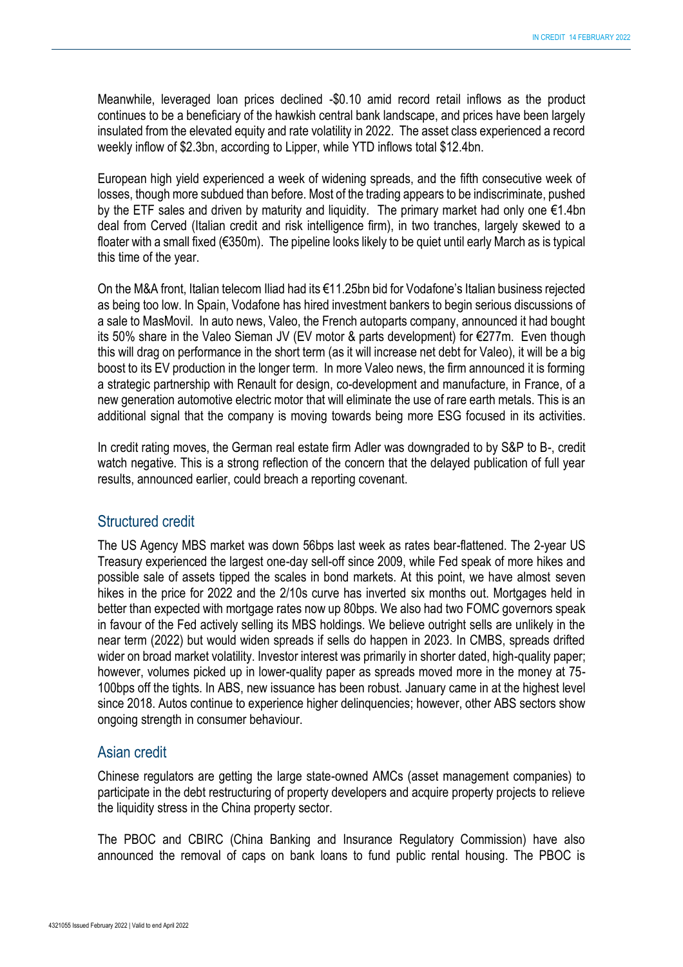Meanwhile, leveraged loan prices declined -\$0.10 amid record retail inflows as the product continues to be a beneficiary of the hawkish central bank landscape, and prices have been largely insulated from the elevated equity and rate volatility in 2022. The asset class experienced a record weekly inflow of \$2.3bn, according to Lipper, while YTD inflows total \$12.4bn.

European high yield experienced a week of widening spreads, and the fifth consecutive week of losses, though more subdued than before. Most of the trading appears to be indiscriminate, pushed by the ETF sales and driven by maturity and liquidity. The primary market had only one €1.4bn deal from Cerved (Italian credit and risk intelligence firm), in two tranches, largely skewed to a floater with a small fixed (€350m). The pipeline looks likely to be quiet until early March as is typical this time of the year.

On the M&A front, Italian telecom Iliad had its €11.25bn bid for Vodafone's Italian business rejected as being too low. In Spain, Vodafone has hired investment bankers to begin serious discussions of a sale to MasMovil. In auto news, Valeo, the French autoparts company, announced it had bought its 50% share in the Valeo Sieman JV (EV motor & parts development) for €277m. Even though this will drag on performance in the short term (as it will increase net debt for Valeo), it will be a big boost to its EV production in the longer term. In more Valeo news, the firm announced it is forming a strategic partnership with Renault for design, co-development and manufacture, in France, of a new generation automotive electric motor that will eliminate the use of rare earth metals. This is an additional signal that the company is moving towards being more ESG focused in its activities.

In credit rating moves, the German real estate firm Adler was downgraded to by S&P to B-, credit watch negative. This is a strong reflection of the concern that the delayed publication of full year results, announced earlier, could breach a reporting covenant.

### Structured credit

The US Agency MBS market was down 56bps last week as rates bear-flattened. The 2-year US Treasury experienced the largest one-day sell-off since 2009, while Fed speak of more hikes and possible sale of assets tipped the scales in bond markets. At this point, we have almost seven hikes in the price for 2022 and the 2/10s curve has inverted six months out. Mortgages held in better than expected with mortgage rates now up 80bps. We also had two FOMC governors speak in favour of the Fed actively selling its MBS holdings. We believe outright sells are unlikely in the near term (2022) but would widen spreads if sells do happen in 2023. In CMBS, spreads drifted wider on broad market volatility. Investor interest was primarily in shorter dated, high-quality paper; however, volumes picked up in lower-quality paper as spreads moved more in the money at 75- 100bps off the tights. In ABS, new issuance has been robust. January came in at the highest level since 2018. Autos continue to experience higher delinquencies; however, other ABS sectors show ongoing strength in consumer behaviour.

#### Asian credit

Chinese regulators are getting the large state-owned AMCs (asset management companies) to participate in the debt restructuring of property developers and acquire property projects to relieve the liquidity stress in the China property sector.

The PBOC and CBIRC (China Banking and Insurance Regulatory Commission) have also announced the removal of caps on bank loans to fund public rental housing. The PBOC is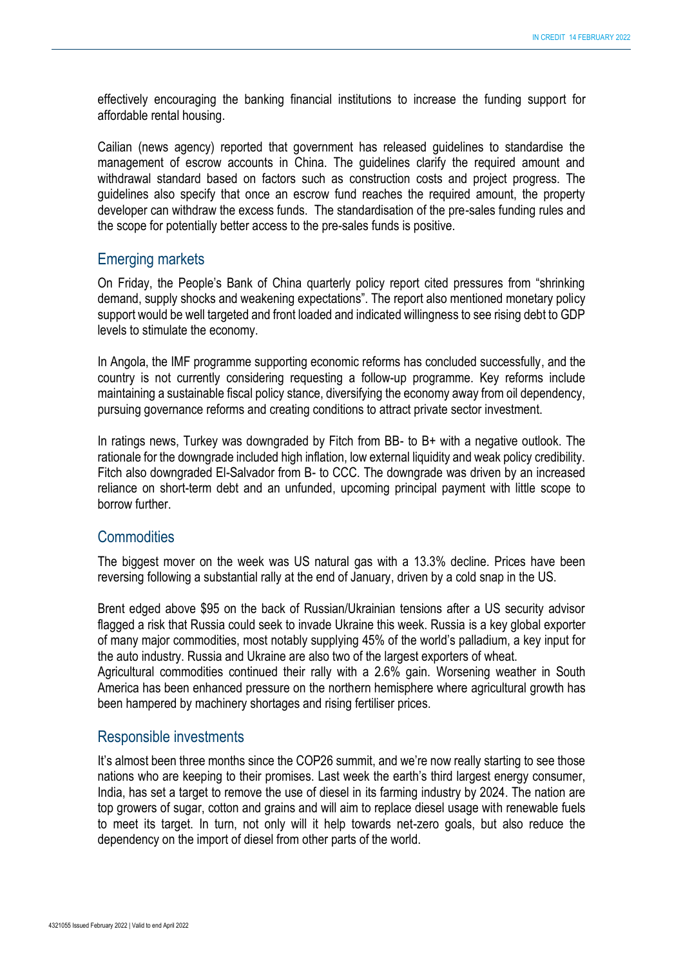effectively encouraging the banking financial institutions to increase the funding support for affordable rental housing.

Cailian (news agency) reported that government has released guidelines to standardise the management of escrow accounts in China. The guidelines clarify the required amount and withdrawal standard based on factors such as construction costs and project progress. The guidelines also specify that once an escrow fund reaches the required amount, the property developer can withdraw the excess funds. The standardisation of the pre-sales funding rules and the scope for potentially better access to the pre-sales funds is positive.

#### Emerging markets

On Friday, the People's Bank of China quarterly policy report cited pressures from "shrinking demand, supply shocks and weakening expectations". The report also mentioned monetary policy support would be well targeted and front loaded and indicated willingness to see rising debt to GDP levels to stimulate the economy.

In Angola, the IMF programme supporting economic reforms has concluded successfully, and the country is not currently considering requesting a follow-up programme. Key reforms include maintaining a sustainable fiscal policy stance, diversifying the economy away from oil dependency, pursuing governance reforms and creating conditions to attract private sector investment.

In ratings news, Turkey was downgraded by Fitch from BB- to B+ with a negative outlook. The rationale for the downgrade included high inflation, low external liquidity and weak policy credibility. Fitch also downgraded El-Salvador from B- to CCC. The downgrade was driven by an increased reliance on short-term debt and an unfunded, upcoming principal payment with little scope to borrow further.

#### **Commodities**

The biggest mover on the week was US natural gas with a 13.3% decline. Prices have been reversing following a substantial rally at the end of January, driven by a cold snap in the US.

Brent edged above \$95 on the back of Russian/Ukrainian tensions after a US security advisor flagged a risk that Russia could seek to invade Ukraine this week. Russia is a key global exporter of many major commodities, most notably supplying 45% of the world's palladium, a key input for the auto industry. Russia and Ukraine are also two of the largest exporters of wheat.

Agricultural commodities continued their rally with a 2.6% gain. Worsening weather in South America has been enhanced pressure on the northern hemisphere where agricultural growth has been hampered by machinery shortages and rising fertiliser prices.

#### Responsible investments

It's almost been three months since the COP26 summit, and we're now really starting to see those nations who are keeping to their promises. Last week the earth's third largest energy consumer, India, has set a target to remove the use of diesel in its farming industry by 2024. The nation are top growers of sugar, cotton and grains and will aim to replace diesel usage with renewable fuels to meet its target. In turn, not only will it help towards net-zero goals, but also reduce the dependency on the import of diesel from other parts of the world.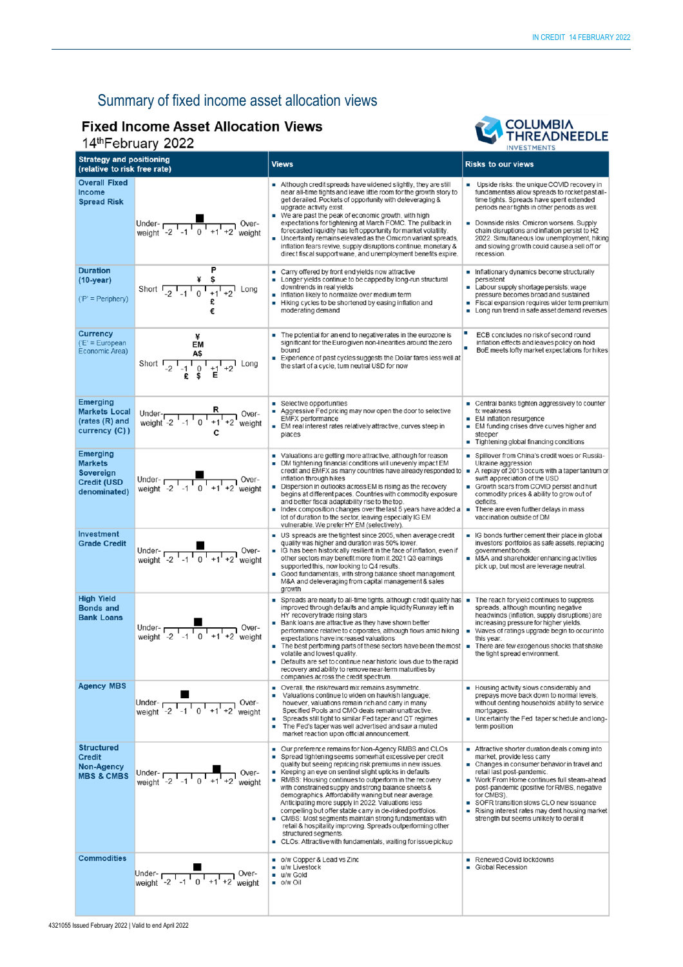# Summary of fixed income asset allocation views

## **Fixed Income Asset Allocation Views** 14th February 2022

#### COLUMBIA<br>THREADNEEDLE T **INVESTMENTS**

| <b>Strategy and positioning</b><br>(relative to risk free rate)               |                                                                                                                                                                                                                | <b>Views</b>                                                                                                                                                                                                                                                                                                                                                                                                                                                                                                                                                                                                                                                                                                                                         | <b>Risks to our views</b>                                                                                                                                                                                                                                                                                                                                                                                   |  |
|-------------------------------------------------------------------------------|----------------------------------------------------------------------------------------------------------------------------------------------------------------------------------------------------------------|------------------------------------------------------------------------------------------------------------------------------------------------------------------------------------------------------------------------------------------------------------------------------------------------------------------------------------------------------------------------------------------------------------------------------------------------------------------------------------------------------------------------------------------------------------------------------------------------------------------------------------------------------------------------------------------------------------------------------------------------------|-------------------------------------------------------------------------------------------------------------------------------------------------------------------------------------------------------------------------------------------------------------------------------------------------------------------------------------------------------------------------------------------------------------|--|
| <b>Overall Fixed</b><br><b>Income</b><br><b>Spread Risk</b>                   | Under- $\frac{1}{\sqrt{2} \cdot 1 - 1}$ 0 <sup>1</sup> + 1 <sup>1</sup> + 2 <sup>1</sup> weight                                                                                                                | Although credit spreads have widened slightly, they are still<br>near all-time tights and leave little room for the growth story to<br>get derailed. Pockets of opportunity with deleveraging &<br>upgrade activity exist.<br>■ We are past the peak of economic growth, with high<br>expectations for tightening at March FOMC. The pullback in<br>forecasted liquidity has left opportunity for market volatility.<br>Uncertainty remains elevated as the Omicron variant spreads,<br>inflation fears revive, supply disruptions continue, monetary &<br>direct fiscal support wane, and unemployment benefits expire.                                                                                                                             | ■ Upside risks: the unique COVID recovery in<br>fundamentals allow spreads to rocket past all-<br>time tights. Spreads have spent extended<br>periods near tights in other periods as well.<br>Downside risks: Omicron worsens. Supply<br>chain disruptions and inflation persist to H2<br>2022. Simultaneous low unemployment, hiking<br>and slowing growth could cause a sell off or<br>recession.        |  |
| <b>Duration</b><br>$(10-year)$<br>$(P' = Periphery)$                          | Short $\begin{array}{ccccc} & & \ast & \ast & \\ \hline -2 & -1 & 0 & +1 & +2 \\ \end{array}$ Long                                                                                                             | Carry offered by front end yields now attractive<br>Longer yields continue to be capped by long-run structural<br>downtrends in real yields<br>Inflation likely to normalize over medium term<br>Hiking cycles to be shortened by easing inflation and<br>٠<br>moderating demand                                                                                                                                                                                                                                                                                                                                                                                                                                                                     | Inflationary dynamics become structurally<br>persistent<br>Labour supply shortage persists; wage<br>pressure becomes broad and sustained<br>Fiscal expansion requires wider term premium<br>• Long run trend in safe asset demand reverses                                                                                                                                                                  |  |
| <b>Currency</b><br>$E' = European$<br>Economic Area)                          | EM<br>Short $\overline{AB}$<br>Short $\overline{A_2}$ $\overline{A_1}$ $\overline{A_2}$ $\overline{A_3}$ $\overline{A_4}$ $\overline{A_2}$ $\overline{A_3}$ $\overline{A_4}$ $\overline{A_2}$ $\overline{A_3}$ | The potential for an end to negative rates in the eurozone is<br>significant for the Euro given non-linearities around the zero<br>bound<br>Experience of past cycles suggests the Dollar fares less well at<br>the start of a cycle, tum neutral USD for now                                                                                                                                                                                                                                                                                                                                                                                                                                                                                        | ECB concludes no risk of second round<br>inflation effects and leaves policy on hold<br>BoE meets lofty market expectations for hikes                                                                                                                                                                                                                                                                       |  |
| <b>Emerging</b><br><b>Markets Local</b><br>(rates (R) and<br>currency (C))    | Under- $R$<br>weight -2 <sup>1</sup> -1 <sup>1</sup> 0 <sup>1</sup> +1 <sup>1</sup> +2 <sup>1</sup> weight                                                                                                     | ■ Selective opportunities<br>Aggressive Fed pricing may now open the door to selective<br>EMFX performance<br>EM real interest rates relatively attractive, curves steep in<br>places                                                                                                                                                                                                                                                                                                                                                                                                                                                                                                                                                                | ■ Central banks tighten aggressively to counter<br>fx weakness<br>EM inflation resurgence<br>EM funding crises drive curves higher and<br>п<br>steeper<br>Tightening global financing conditions                                                                                                                                                                                                            |  |
| <b>Emerging</b><br><b>Markets</b><br>Sovereign<br>Credit (USD<br>denominated) | Under- $\frac{2}{\sqrt{1-1}} \frac{1}{\sqrt{1-1}} \cdot \frac{1}{\sqrt{1+1}}$ Over-                                                                                                                            | • Valuations are getting more attractive, although for reason<br>DM tightening financial conditions will unevenly impact EM<br>credit and EMFX as many countries have already responded to $\bullet$ A replay of 2013 occurs with a taper tantrum or<br>inflation through hikes<br>Dispersion in outlooks across EM is rising as the recovery<br>begins at different paces. Countries with commodity exposure<br>and better fiscal adaptability rise to the top.<br>Index composition changes over the last 5 years have added a<br>ш<br>lot of duration to the sector, leaving especially IG EM<br>vulnerable. We prefer HY EM (selectively)                                                                                                        | Spillover from China's credit woes or Russia-<br>Ukraine aggression<br>swift appreciation of the USD<br>Growth scars from COVID persist and hurt<br>commodity prices & ability to grow out of<br>deficits.<br>There are even further delays in mass<br>vaccination outside of DM                                                                                                                            |  |
| <b>Investment</b><br><b>Grade Credit</b>                                      | Under-<br>weight $\frac{1}{2}$ , $\frac{1}{2}$ , $\frac{1}{2}$ , $\frac{1}{2}$ , $\frac{1}{2}$ , $\frac{1}{2}$ weight                                                                                          | US spreads are the tightest since 2005, when average credit<br>quality was higher and duration was 50% lower.<br>IG has been historically resilient in the face of inflation, even if<br>other sectors may benefit more from it.2021 Q3 eamings<br>supported this, now looking to Q4 results.<br>Good fundamentals, with strong balance sheet management,<br>M&A and deleveraging from capital management & sales<br>growth                                                                                                                                                                                                                                                                                                                          | G bonds further cement their place in global<br>investors' portfolios as safe assets, replacing<br>government bonds.<br>M&A and shareholder enhancing activities<br>pick up, but most are leverage neutral.                                                                                                                                                                                                 |  |
| <b>High Yield</b><br><b>Bonds and</b><br><b>Bank Loans</b>                    | Under- $\frac{1}{\sqrt{1-1} + 1}$ Over-<br>weight -2 -1 0 +1 +2 weight                                                                                                                                         | Spreads are nearly to all-time tights, although credit quality has $\blacksquare$<br>improved through defaults and ample liquidity Runway left in<br>HY recovery trade rising stars<br>Bank loans are attractive as they have shown better<br>performance relative to corporates, although flows amid hiking<br>expectations have increased valuations<br>The best performing parts of these sectors have been the most $\blacksquare$<br>volatile and lowest quality.<br>Defaults are set to continue near historic lows due to the rapid<br>recovery and ability to remove near-term maturities by<br>companies across the credit spectrum.                                                                                                        | The reach for yield continues to suppress<br>spreads, although mounting negative<br>headwinds (inflation, supply disruptions) are<br>increasing pressure for higher yields.<br>■ Waves of ratings upgrade begin to occur into<br>this year.<br>There are few exogenous shocks that shake<br>the tight spread environment.                                                                                   |  |
| <b>Agency MBS</b>                                                             | Under- $\frac{1}{2}$ -1 0 +1 +2<br>Over-<br>weight                                                                                                                                                             | Overall, the risk/reward mix remains asymmetric.<br>Ξ<br>Valuations continue to widen on hawkish language;<br>however, valuations remain rich and cany in many<br>Specified Pools and CMO deals remain unattractive.<br>Spreads still tight to similar Fed taper and QT regimes<br>The Fed's taper was well advertised and saw a muted<br>$\blacksquare$<br>market reaction upon official announcement.                                                                                                                                                                                                                                                                                                                                              | ■ Housing activity slows considerably and<br>prepays move back down to normal levels,<br>without denting households' ability to service<br>mortgages.<br>Uncertainty the Fed taper schedule and long-<br>term position                                                                                                                                                                                      |  |
| <b>Structured</b><br><b>Credit</b><br>Non-Agency<br><b>MBS &amp; CMBS</b>     | Under- $\frac{1}{2}$ -1 0 +1 +2<br>Over-                                                                                                                                                                       | Our preference remains for Non-Agency RMBS and CLOs<br>Spread tightening seems somewhat excessive per credit<br>п<br>quality but seeing repricing risk premiums in new issues.<br>Keeping an eye on sentinel slight upticks in defaults<br>RMBS: Housing continues to outperform in the recovery<br>with constrained supply and strong balance sheets &<br>demographics. Affordability waning but near average.<br>Anticipating more supply in 2022. Valuations less<br>compelling but offer stable carry in de-risked portfolios.<br>CMBS: Most segments maintain strong fundamentals with<br>retail & hospitality improving. Spreads outperforming other<br>structured segments.<br>• CLOs: Attractive with fundamentals, waiting for issue pickup | Attractive shorter duration deals coming into<br>market, provide less carry<br>- Changes in consumer behavior in travel and<br>retail last post-pandemic.<br>■ Work From Home continues full steam-ahead<br>post-pandemic (positive for RMBS, negative<br>for CMBS).<br>SOFR transition slows CLO new issuance<br>Rising interest rates may dent housing market<br>strength but seems unlikely to derail it |  |
| <b>Commodities</b>                                                            | Under- $\frac{1}{\sqrt{2} \cdot 1 - 1}$ 0 <sup>1</sup> + 1 <sup>1</sup> + 2 <sup>1</sup> weight                                                                                                                | o/w Copper & Lead vs Zinc<br>u/w Livestock<br>$\blacksquare$<br>u/w Gold<br>$\blacksquare$ o/w Oil                                                                                                                                                                                                                                                                                                                                                                                                                                                                                                                                                                                                                                                   | Renewed Covid lockdowns<br>Global Recession                                                                                                                                                                                                                                                                                                                                                                 |  |